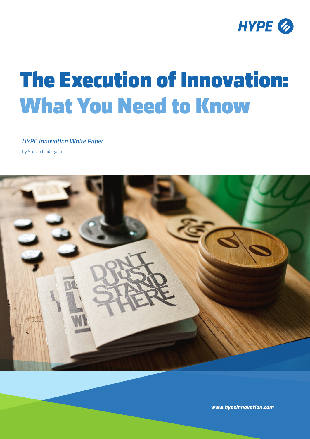

# The Execution of Innovation: What You Need to Know

*HYPE Innovation White Paper*  by Stefan Lindegaard



*www.hypeinnovation.com*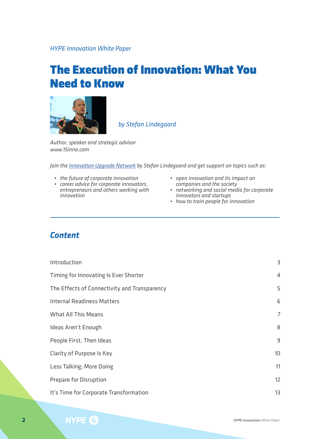*HYPE Innovation White Paper* 

## The Execution of Innovation: What You Need to Know



*by Stefan Lindegaard*

*Author, speaker and strategic advisor www.15inno.com*

*Join the [Innovation Upgrade Network](http://www.eventbrite.com/e/the-innovation-upgrade-network-by-stefan-lindegaard-tickets-17412540377) by Stefan Lindegaard and get support on topics such as:*

- 
- *• the future of corporate innovation • career advice for corporate innovators, entrepreneurs and others working with innovation*
- *• open innovation and its impact on*
- *companies and the society • networking and social media for corporate*
- *innovators and startups • how to train people for innovation*

#### *Content*

| Introduction                                 | 3  |
|----------------------------------------------|----|
| Timing for Innovating Is Ever Shorter        | 4  |
| The Effects of Connectivity and Transparency | 5  |
| <b>Internal Readiness Matters</b>            | 6  |
| <b>What All This Means</b>                   | 7  |
| Ideas Aren't Enough                          | 8  |
| People First, Then Ideas                     | 9  |
| Clarity of Purpose Is Key                    | 10 |
| Less Talking; More Doing                     | 11 |
| Prepare for Disruption                       | 12 |
| It's Time for Corporate Transformation       | 13 |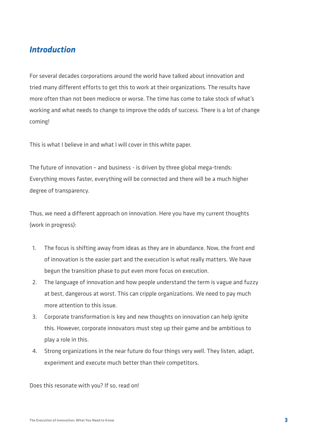#### *Introduction*

For several decades corporations around the world have talked about innovation and tried many different efforts to get this to work at their organizations. The results have more often than not been mediocre or worse. The time has come to take stock of what's working and what needs to change to improve the odds of success. There is a lot of change coming!

This is what I believe in and what I will cover in this white paper.

The future of innovation – and business - is driven by three global mega-trends: Everything moves faster, everything will be connected and there will be a much higher degree of transparency.

Thus, we need a different approach on innovation. Here you have my current thoughts (work in progress):

- 1. The focus is shifting away from ideas as they are in abundance. Now, the front end of innovation is the easier part and the execution is what really matters. We have begun the transition phase to put even more focus on execution.
- 2. The language of innovation and how people understand the term is vague and fuzzy at best, dangerous at worst. This can cripple organizations. We need to pay much more attention to this issue.
- 3. Corporate transformation is key and new thoughts on innovation can help ignite this. However, corporate innovators must step up their game and be ambitious to play a role in this.
- 4. Strong organizations in the near future do four things very well. They listen, adapt, experiment and execute much better than their competitors.

Does this resonate with you? If so, read on!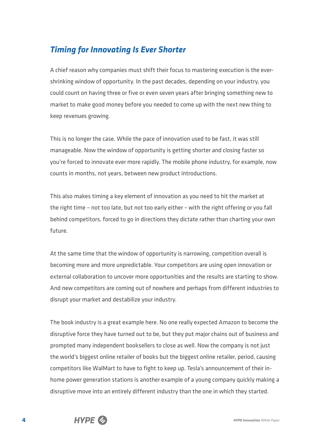## *Timing for Innovating Is Ever Shorter*

A chief reason why companies must shift their focus to mastering execution is the evershrinking window of opportunity. In the past decades, depending on your industry, you could count on having three or five or even seven years after bringing something new to market to make good money before you needed to come up with the next new thing to keep revenues growing.

This is no longer the case. While the pace of innovation used to be fast, it was still manageable. Now the window of opportunity is getting shorter and closing faster so you're forced to innovate ever more rapidly. The mobile phone industry, for example, now counts in months, not years, between new product introductions.

This also makes timing a key element of innovation as you need to hit the market at the right time – not too late, but not too early either – with the right offering or you fall behind competitors, forced to go in directions they dictate rather than charting your own future.

At the same time that the window of opportunity is narrowing, competition overall is becoming more and more unpredictable. Your competitors are using open innovation or external collaboration to uncover more opportunities and the results are starting to show. And new competitors are coming out of nowhere and perhaps from different industries to disrupt your market and destabilize your industry.

The book industry is a great example here. No one really expected Amazon to become the disruptive force they have turned out to be, but they put major chains out of business and prompted many independent booksellers to close as well. Now the company is not just the world's biggest online retailer of books but the biggest online retailer, period, causing competitors like WalMart to have to fight to keep up. Tesla's announcement of their inhome power generation stations is another example of a young company quickly making a disruptive move into an entirely different industry than the one in which they started.

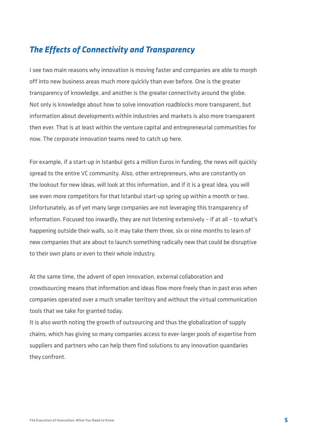#### *The Effects of Connectivity and Transparency*

I see two main reasons why innovation is moving faster and companies are able to morph off into new business areas much more quickly than ever before. One is the greater transparency of knowledge, and another is the greater connectivity around the globe. Not only is knowledge about how to solve innovation roadblocks more transparent, but information about developments within industries and markets is also more transparent then ever. That is at least within the venture capital and entrepreneurial communities for now. The corporate innovation teams need to catch up here.

For example, if a start-up in Istanbul gets a million Euros in funding, the news will quickly spread to the entire VC community. Also, other entrepreneurs, who are constantly on the lookout for new ideas, will look at this information, and if it is a great idea, you will see even more competitors for that Istanbul start-up spring up within a month or two. Unfortunately, as of yet many large companies are not leveraging this transparency of information. Focused too inwardly, they are not listening extensively – if at all – to what's happening outside their walls, so it may take them three, six or nine months to learn of new companies that are about to launch something radically new that could be disruptive to their own plans or even to their whole industry.

At the same time, the advent of open innovation, external collaboration and crowdsourcing means that information and ideas flow more freely than in past eras when companies operated over a much smaller territory and without the virtual communication tools that we take for granted today.

It is also worth noting the growth of outsourcing and thus the globalization of supply chains, which has giving so many companies access to ever-larger pools of expertise from suppliers and partners who can help them find solutions to any innovation quandaries they confront.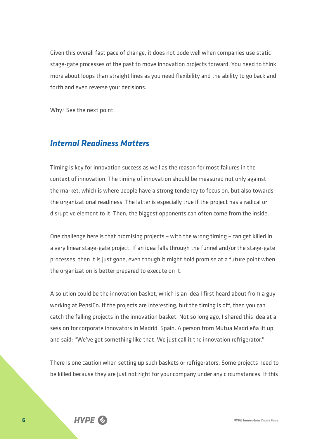Given this overall fast pace of change, it does not bode well when companies use static stage-gate processes of the past to move innovation projects forward. You need to think more about loops than straight lines as you need flexibility and the ability to go back and forth and even reverse your decisions.

Why? See the next point.

#### *Internal Readiness Matters*

Timing is key for innovation success as well as the reason for most failures in the context of innovation. The timing of innovation should be measured not only against the market, which is where people have a strong tendency to focus on, but also towards the organizational readiness. The latter is especially true if the project has a radical or disruptive element to it. Then, the biggest opponents can often come from the inside.

One challenge here is that promising projects – with the wrong timing – can get killed in a very linear stage-gate project. If an idea falls through the funnel and/or the stage-gate processes, then it is just gone, even though it might hold promise at a future point when the organization is better prepared to execute on it.

A solution could be the innovation basket, which is an idea I first heard about from a guy working at PepsiCo. If the projects are interesting, but the timing is off, then you can catch the falling projects in the innovation basket. Not so long ago, I shared this idea at a session for corporate innovators in Madrid, Spain. A person from Mutua Madrileña lit up and said: "We've got something like that. We just call it the innovation refrigerator."

There is one caution when setting up such baskets or refrigerators. Some projects need to be killed because they are just not right for your company under any circumstances. If this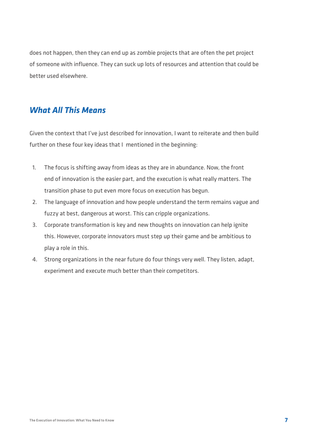does not happen, then they can end up as zombie projects that are often the pet project of someone with influence. They can suck up lots of resources and attention that could be better used elsewhere.

#### *What All This Means*

Given the context that I've just described for innovation, I want to reiterate and then build further on these four key ideas that I mentioned in the beginning:

- 1. The focus is shifting away from ideas as they are in abundance. Now, the front end of innovation is the easier part, and the execution is what really matters. The transition phase to put even more focus on execution has begun.
- 2. The language of innovation and how people understand the term remains vague and fuzzy at best, dangerous at worst. This can cripple organizations.
- 3. Corporate transformation is key and new thoughts on innovation can help ignite this. However, corporate innovators must step up their game and be ambitious to play a role in this.
- 4. Strong organizations in the near future do four things very well. They listen, adapt, experiment and execute much better than their competitors.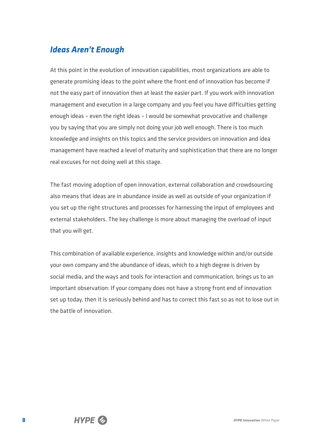### *Ideas Aren't Enough*

At this point in the evolution of innovation capabilities, most organizations are able to generate promising ideas to the point where the front end of innovation has become if not the easy part of innovation then at least the easier part. If you work with innovation management and execution in a large company and you feel you have difficulties getting enough ideas – even the right ideas – I would be somewhat provocative and challenge you by saying that you are simply not doing your job well enough. There is too much knowledge and insights on this topics and the service providers on innovation and idea management have reached a level of maturity and sophistication that there are no longer real excuses for not doing well at this stage.

The fast moving adoption of open innovation, external collaboration and crowdsourcing also means that ideas are in abundance inside as well as outside of your organization if you set up the right structures and processes for harnessing the input of employees and external stakeholders. The key challenge is more about managing the overload of input that you will get.

This combination of available experience, insights and knowledge within and/or outside your own company and the abundance of ideas, which to a high degree is driven by social media, and the ways and tools for interaction and communication, brings us to an important observation: If your company does not have a strong front end of innovation set up today, then it is seriously behind and has to correct this fast so as not to lose out in the battle of innovation.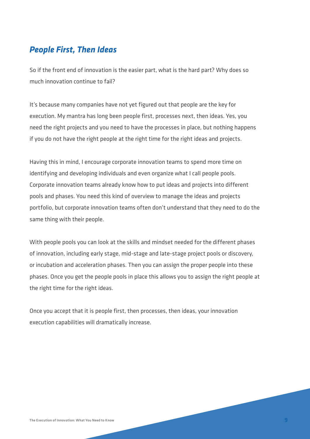#### *People First, Then Ideas*

So if the front end of innovation is the easier part, what is the hard part? Why does so much innovation continue to fail?

It's because many companies have not yet figured out that people are the key for execution. My mantra has long been people first, processes next, then ideas. Yes, you need the right projects and you need to have the processes in place, but nothing happens if you do not have the right people at the right time for the right ideas and projects.

Having this in mind, I encourage corporate innovation teams to spend more time on identifying and developing individuals and even organize what I call people pools. Corporate innovation teams already know how to put ideas and projects into different pools and phases. You need this kind of overview to manage the ideas and projects portfolio, but corporate innovation teams often don't understand that they need to do the same thing with their people.

With people pools you can look at the skills and mindset needed for the different phases of innovation, including early stage, mid-stage and late-stage project pools or discovery, or incubation and acceleration phases. Then you can assign the proper people into these phases. Once you get the people pools in place this allows you to assign the right people at the right time for the right ideas.

Once you accept that it is people first, then processes, then ideas, your innovation execution capabilities will dramatically increase.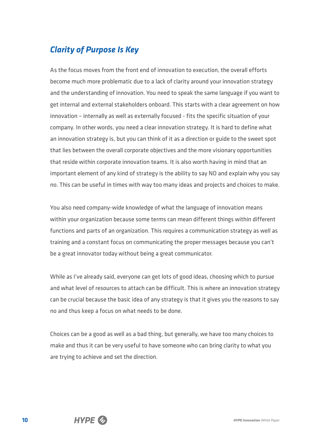## *Clarity of Purpose Is Key*

As the focus moves from the front end of innovation to execution, the overall efforts become much more problematic due to a lack of clarity around your innovation strategy and the understanding of innovation. You need to speak the same language if you want to get internal and external stakeholders onboard. This starts with a clear agreement on how innovation – internally as well as externally focused - fits the specific situation of your company. In other words, you need a clear innovation strategy. It is hard to define what an innovation strategy is, but you can think of it as a direction or guide to the sweet spot that lies between the overall corporate objectives and the more visionary opportunities that reside within corporate innovation teams. It is also worth having in mind that an important element of any kind of strategy is the ability to say NO and explain why you say no. This can be useful in times with way too many ideas and projects and choices to make.

You also need company-wide knowledge of what the language of innovation means within your organization because some terms can mean different things within different functions and parts of an organization. This requires a communication strategy as well as training and a constant focus on communicating the proper messages because you can't be a great innovator today without being a great communicator.

While as I've already said, everyone can get lots of good ideas, choosing which to pursue and what level of resources to attach can be difficult. This is where an innovation strategy can be crucial because the basic idea of any strategy is that it gives you the reasons to say no and thus keep a focus on what needs to be done.

Choices can be a good as well as a bad thing, but generally, we have too many choices to make and thus it can be very useful to have someone who can bring clarity to what you are trying to achieve and set the direction.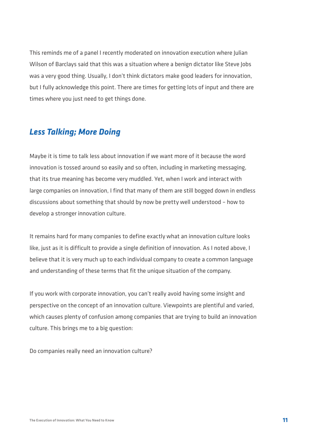This reminds me of a panel I recently moderated on innovation execution where Julian Wilson of Barclays said that this was a situation where a benign dictator like Steve Jobs was a very good thing. Usually, I don't think dictators make good leaders for innovation, but I fully acknowledge this point. There are times for getting lots of input and there are times where you just need to get things done.

#### *Less Talking; More Doing*

Maybe it is time to talk less about innovation if we want more of it because the word innovation is tossed around so easily and so often, including in marketing messaging, that its true meaning has become very muddled. Yet, when I work and interact with large companies on innovation, I find that many of them are still bogged down in endless discussions about something that should by now be pretty well understood – how to develop a stronger innovation culture.

It remains hard for many companies to define exactly what an innovation culture looks like, just as it is difficult to provide a single definition of innovation. As I noted above, I believe that it is very much up to each individual company to create a common language and understanding of these terms that fit the unique situation of the company.

If you work with corporate innovation, you can't really avoid having some insight and perspective on the concept of an innovation culture. Viewpoints are plentiful and varied, which causes plenty of confusion among companies that are trying to build an innovation culture. This brings me to a big question:

Do companies really need an innovation culture?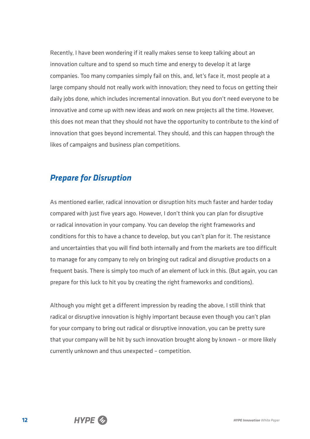Recently, I have been wondering if it really makes sense to keep talking about an innovation culture and to spend so much time and energy to develop it at large companies. Too many companies simply fail on this, and, let's face it, most people at a large company should not really work with innovation; they need to focus on getting their daily jobs done, which includes incremental innovation. But you don't need everyone to be innovative and come up with new ideas and work on new projects all the time. However, this does not mean that they should not have the opportunity to contribute to the kind of innovation that goes beyond incremental. They should, and this can happen through the likes of campaigns and business plan competitions.

#### *Prepare for Disruption*

As mentioned earlier, radical innovation or disruption hits much faster and harder today compared with just five years ago. However, I don't think you can plan for disruptive or radical innovation in your company. You can develop the right frameworks and conditions for this to have a chance to develop, but you can't plan for it. The resistance and uncertainties that you will find both internally and from the markets are too difficult to manage for any company to rely on bringing out radical and disruptive products on a frequent basis. There is simply too much of an element of luck in this. (But again, you can prepare for this luck to hit you by creating the right frameworks and conditions).

Although you might get a different impression by reading the above, I still think that radical or disruptive innovation is highly important because even though you can't plan for your company to bring out radical or disruptive innovation, you can be pretty sure that your company will be hit by such innovation brought along by known – or more likely currently unknown and thus unexpected – competition.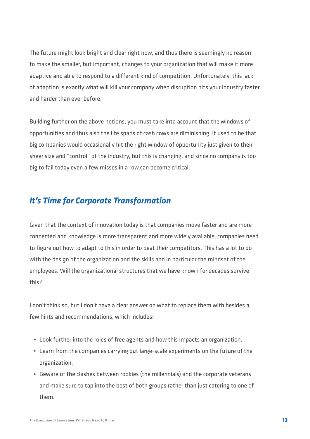The future might look bright and clear right now, and thus there is seemingly no reason to make the smaller, but important, changes to your organization that will make it more adaptive and able to respond to a different kind of competition. Unfortunately, this lack of adaption is exactly what will kill your company when disruption hits your industry faster and harder than ever before.

Building further on the above notions, you must take into account that the windows of opportunities and thus also the life spans of cash cows are diminishing. It used to be that big companies would occasionally hit the right window of opportunity just given to their sheer size and "control" of the industry, but this is changing, and since no company is too big to fail today even a few misses in a row can become critical.

### *It's Time for Corporate Transformation*

Given that the context of innovation today is that companies move faster and are more connected and knowledge is more transparent and more widely available, companies need to figure out how to adapt to this in order to beat their competitors. This has a lot to do with the design of the organization and the skills and in particular the mindset of the employees. Will the organizational structures that we have known for decades survive this?

I don't think so, but I don't have a clear answer on what to replace them with besides a few hints and recommendations, which includes:

- Look further into the roles of free agents and how this impacts an organization.
- Learn from the companies carrying out large-scale experiments on the future of the organization.
- Beware of the clashes between rookies (the millennials) and the corporate veterans and make sure to tap into the best of both groups rather than just catering to one of them.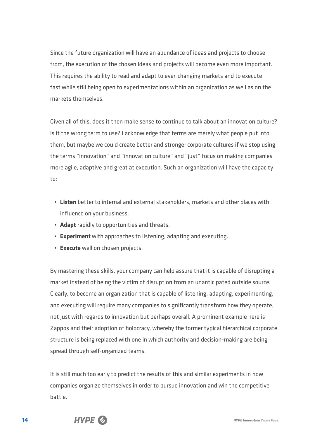Since the future organization will have an abundance of ideas and projects to choose from, the execution of the chosen ideas and projects will become even more important. This requires the ability to read and adapt to ever-changing markets and to execute fast while still being open to experimentations within an organization as well as on the markets themselves.

Given all of this, does it then make sense to continue to talk about an innovation culture? Is it the wrong term to use? I acknowledge that terms are merely what people put into them, but maybe we could create better and stronger corporate cultures if we stop using the terms "innovation" and "innovation culture" and "just" focus on making companies more agile, adaptive and great at execution. Such an organization will have the capacity to:

- **Listen** better to internal and external stakeholders, markets and other places with influence on your business.
- **Adapt** rapidly to opportunities and threats.
- **Experiment** with approaches to listening, adapting and executing.
- **Execute** well on chosen projects.

By mastering these skills, your company can help assure that it is capable of disrupting a market instead of being the victim of disruption from an unanticipated outside source. Clearly, to become an organization that is capable of listening, adapting, experimenting, and executing will require many companies to significantly transform how they operate, not just with regards to innovation but perhaps overall. A prominent example here is Zappos and their adoption of holocracy, whereby the former typical hierarchical corporate structure is being replaced with one in which authority and decision-making are being spread through self-organized teams.

It is still much too early to predict the results of this and similar experiments in how companies organize themselves in order to pursue innovation and win the competitive battle.

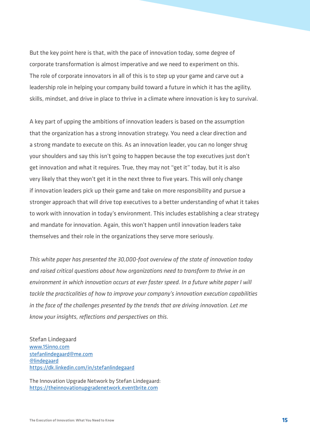But the key point here is that, with the pace of innovation today, some degree of corporate transformation is almost imperative and we need to experiment on this. The role of corporate innovators in all of this is to step up your game and carve out a leadership role in helping your company build toward a future in which it has the agility, skills, mindset, and drive in place to thrive in a climate where innovation is key to survival.

A key part of upping the ambitions of innovation leaders is based on the assumption that the organization has a strong innovation strategy. You need a clear direction and a strong mandate to execute on this. As an innovation leader, you can no longer shrug your shoulders and say this isn't going to happen because the top executives just don't get innovation and what it requires. True, they may not "get it" today, but it is also very likely that they won't get it in the next three to five years. This will only change if innovation leaders pick up their game and take on more responsibility and pursue a stronger approach that will drive top executives to a better understanding of what it takes to work with innovation in today's environment. This includes establishing a clear strategy and mandate for innovation. Again, this won't happen until innovation leaders take themselves and their role in the organizations they serve more seriously.

*This white paper has presented the 30,000-foot overview of the state of innovation today and raised critical questions about how organizations need to transform to thrive in an environment in which innovation occurs at ever faster speed. In a future white paper I will tackle the practicalities of how to improve your company's innovation execution capabilities in the face of the challenges presented by the trends that are driving innovation. Let me know your insights, reflections and perspectives on this.* 

Stefan Lindegaard [www.15inno.com](http://www.15inno.com) [stefanlindegaard@me.com](mailto:stefanlindegaard@me.com) [@lindegaard](https://twitter.com/lindegaard) https://dk.linkedin.com/in/stefanlindegaard

The Innovation Upgrade Network by Stefan Lindegaard: https://theinnovationupgradenetwork.eventbrite.com